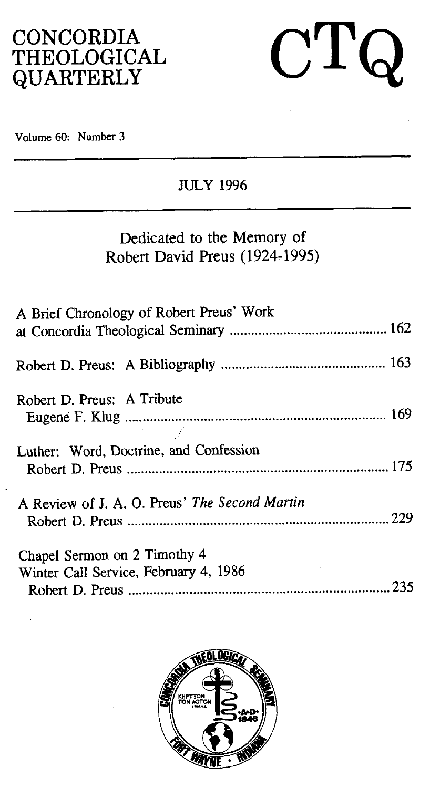## **CONCORDIA** THEOLOGICAL QUARTERLY

 $C\mathrm{T}$  $\bigcap$ 

Volume 60: Number 3

### **JULY** 1996

## Dedicated to the Memory of Robert David Preus (1924-1995)

| A Brief Chronology of Robert Preus' Work                                     |
|------------------------------------------------------------------------------|
|                                                                              |
| Robert D. Preus: A Tribute                                                   |
| Luther: Word, Doctrine, and Confession                                       |
| A Review of J. A. O. Preus' The Second Martin                                |
| Chapel Sermon on 2 Timothy 4<br>Winter Call Service, February 4, 1986<br>235 |

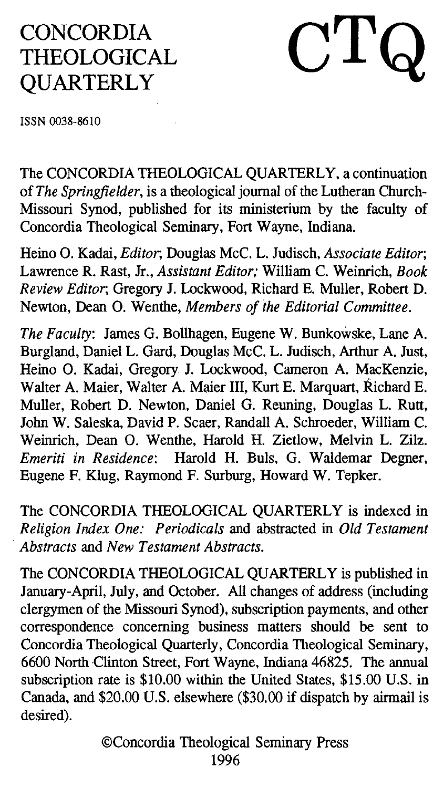# CONCORDIA THEOLOGICAL **QUARTERLY**

# $\rm CTC$

**ISSN** 0038-8610

The CONCORDIA THEOLOGICAL QUARTERLY, a continuation of *The Springfielder,* is a theological journal of the Lutheran Church-Missouri Synod, published for its ministerium by the faculty of Concordia Theological Seminary, Fort Wayne, Indiana.

Heino 0. Kadai, *Editor;* Douglas McC. L. Judisch, *Associate Editor;*  Lawrence R. Rast, Jr., *Assistant Editor:* William C. Weinrich, *Book Review Editor,* Gregory J. Lockwood, Richard E. Muller, Robert D. Newton, Dean 0. Wenthe, *Members of the Editorial Committee.* 

*The Faculty:* James G. Bollhagen, Eugene W. Bunkowske, Lane A. Burgland, Daniel L. Gard, Douglas McC. L. Judisch, Arthur A. Just, Heino 0. Kadai, Gregory J. Lockwood, Cameron A. MacKenzie, Walter A. Maier, Walter A. Maier III, Kurt E. Marquart, Richard E. Muller, Robert D. Newton, Daniel G. Reuning, Douglas L. Rutt, John W. Saleska, David P. Scaer, Randall A. Schroeder, William C. Weinrich, Dean 0. Wenthe, Harold H. Zietlow, Melvin L. Zilz. *Emeriti in Residence:* Harold *H.* Buls, G. Waldemar Degner, Eugene F. Klug, Raymond F. Surburg, Howard W. Tepker.

The CONCORDIA THEOLOGICAL QUARTERLY is indexed in *Religion Index One: Periodicals* and abstracted in *Old Testament Abstracts* and *New Testament Abstracts.* 

The CONCORDIA THEOLOGICAL QUARTERLY is published in January-April, July, and October. All changes of address (including clergymen of the Missouri Synod), subscription payments, and other correspondence concerning business matters should be sent to Concordia Theological Quarterly, Concordia Theological Seminary, 6600 North Clinton Street, Fort Wayne, Indiana 46825. The annual subscription rate is \$10.00 within the United States, \$15.00 U.S. in Canada, and \$20.00 U.S. elsewhere (\$30.00 if dispatch by airmail is desired).

> OConcordia Theological Seminary Press 1996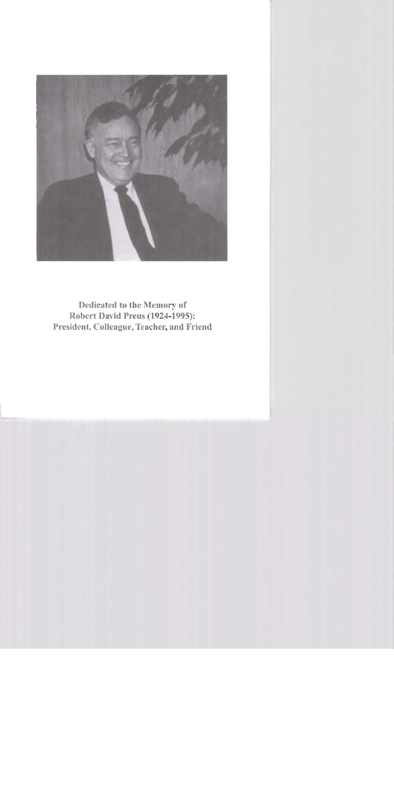

**Dedicated to the Memory of Robert David Preus (1924-1995): President, Colleague, Teacher, and Friend**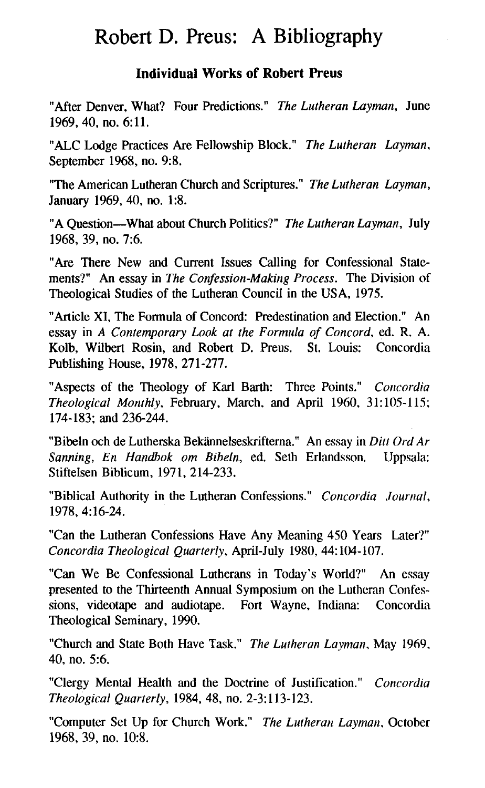## Robert D. Preus: A Bibliography

### **Individual Works of Robert Preus**

"After Denver, What? Four Predictions." *The Lutheran Layman,* June 1969, 40, no. 6:11.

"ALC Lodge Practices Are Fellowship Block." *The Lutheran Laymun,*  September 1968, no. 9:8.

"The American Lutheran Church and Scriptures." *The Lutheran Layman,*  January 1969, 40, no. 1:8.

"A Question-What about Church Politics?" *The Lutheran Layman,* July 1968, 39, no. 7:6.

"Are There New and Current Issues Calling for Confessional Statements?" An essay in *The Confession-Making Process.* The Division of Theological Studies of the Lutheran Council in the USA, 1975.

"Article XI, The Formula of Concord: Predestination and Election." An essay in *A Contemporary Look at the Formula of Concord,* **ed.** R. A. Kolb, Wilbert Rosin, and Robert D. Preus. St. Louis: Concordia Publishing House, 1978, 271-277.

"Aspects of the Theology of Karl Barth: Three Points." *Concordia Theological Monthly, February, March, and April 1960, 31:105-115;* 174- 183; and 236-244.

"Bibeln och de Lutherska Bekännelseskrifterna." An essay in *Ditt Ord Ar Sunning, En Handbok om Bibeln,* ed. Seth Erlandsson. Uppsala: Stiftelsen Biblicum, 1971, 214-233.

"Biblical Authority in the Lutheran Confessions." *Concordia .lournul,*  1978,4:16-24.

"Can the Lutheran Confessions Have Any Meaning 450 Years Later?" *Concordia Theological Quarterly,* April-July 1980,44: 104- 107.

"Can We Be Confessional Lutherans in Today's World?" An essay presented to the Thirteenth Annual Symposium on the Luthcran Confessions, videotape and audiotape. Fort Wayne, Indiana: Concordia Theological Seminary, 1990.

"Church and State Both Have Task." *The Lutheran Layman,* May 1969, 40, no. 5:6.

"Clergy Mental Health and the Doctrine of Justification." *Concordia Theological Quarterly,* 1984, 48, no. 2-3:113-123.

"Computer Set Up for Church Work." *The Lutheran Layman,* October 1968, 39, no. 10:8.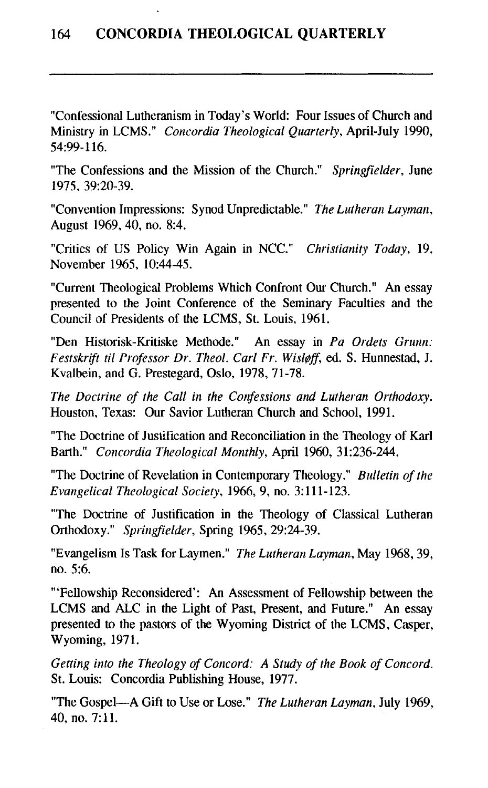"Confessional Lutheranism in Today's World: Four Issues of Church and Ministry in LCMS." *Concordia Theological Quarterly,* April-July 1990, 54:99-116.

"The Confessions and the Mission of the Church." *Springfielder,* June 1975, 39:20-39.

"Convention Impressions: Synod Unpredictable." *The Lutheran Layman*, August 1969,40, no. 8:4.

"Critics of US Policy Win Again in NCC." *Christianity Today,* 19, November 1965, 10:44-45.

"Current Theological Problems Which Confront Our Church." An essay presented to the Joint Conference of the Seminary Faculties and the Council of Presidents of the LCMS, St. Louis, 1961.

"Den Historisk-Kritiske Methode." An essay in *Pa Orders Grunn: Festskrift ti1 Professor Dr. Theol. Carl Fr. Wisl@ff,* **ed.** S. Hunnestad, J. Kvalbein, and G. Prestegard, Oslo, 1978, 71-78.

*The Doctrine of the Call in the Corlfessions and Lutheran Orthodoxy.*  Houston, Texas: Our Savior Lutheran Church and School, 1991.

"The Doctrine of Justification and Reconciliation in the Theology of Karl Barth." *Concordia Theological Monthly,* April 1960, 31:236-244.

"The Doctrine of Revelation in Contemporary Theology." *Bulletin of the Evangelical Theological Society,* 1966, 9, no. 3: 11 1-123.

"The Doctrine of Justification in the Theology of Classical Lutheran Orthodoxy." *Springfielder,* Spring 1965, 29:24-39.

"Evangelism Is Task for Laymen." *The Lutheran Layman,* May 1968,39, no. 5:6.

"'Fellowship Reconsidered': An Assessment of Fellowship between the LCMS and ALC in the Light of Past, Present, and Future." An essay presented to the pastors of the Wyoming District of the LCMS, Casper, Wyoming, 1971.

*Getting into the Theology of Concord: A Study of the Book of Concord.*  St. Louis: Concordia Publishing House, 1977.

"The Gospel-A Gift to Use or Lose." *The Lutheran Layman,* July 1969, *40,* no. 7: 11.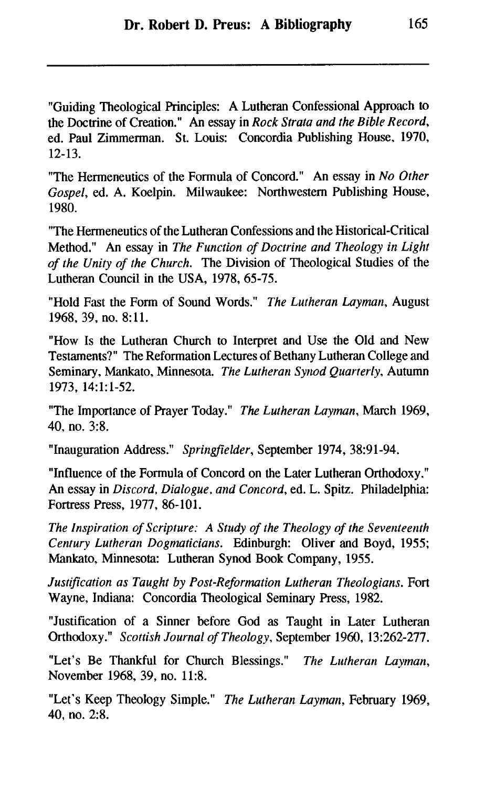"Guiding Theological Principles: A Lutheran Confessional Approach to the Doctrine of Creation." An essay in *Rock Strata and the Bible Record*, ed. Paul Zimmerman. St. Louis: Concordia Publishing House. 1970, 12-13.

"The Hermeneutics of the Formula of Concord." An essay in *No Other Gospel,* **ed.** A. Koelpin. Milwaukee: Northwestern Publishing House, 1980.

"The Hermeneutics of the Lutheran Confessions and the Historical-Critical Method." An essay in *The Function of Doctrine and Theology in Light of the Unity of the Church.* The Division of Theological Studies of the Lutheran Council in the USA, 1978, 65-75.

"Hold Fast the Form of Sound Words." *The Lutheran Layman,* August 1968, 39, no. 8:11.

"How Is the Lutheran Church to Interpret and Use the Old and New Testaments?" The Reformation Lectures of Bethany Lutheran College and Seminary, Mankato, Minnesota. *The Lutheran Synod Quarterly,* Autumn 1973, 14:l: 1-52.

"The Importance of Prayer Today." *The Lutheran Layman,* March 1969, 40, no. 3:8.

"Inauguration Address." *Springfielder,* September 1974, 38:9 1-94.

"Influence of the Formula of Concord on the Later Lutheran Orthodoxy." An essay in *Discord, Dialogue, and Concord,* ed. L. Spitz. Philadelphia: Fortress Press, 1977, 86-101.

*The Inspiration of Scripture: A Study of the Theology of the Seventeenth Century Lutheran Dogmaticians.* Edinburgh: Oliver and Boyd, 1955: Mankato, Minnesota: Lutheran Synod Book Company, 1955.

*Justification as Taught by Post-Reformation Lutheran Theologians.* Fort Wayne, Indiana: Concordia Theological Seminary Press, 1982.

"Justification of a Sinner before God as Taught in Later Lutheran Orthodoxy." *Scottish Journal of Theology,* September 1960, 13:262-277.

"Let's Be Thankful for Church Blessings." *The Lutheran Layman*, November 1968, 39, no. 11:8.

"Let's Keep Theology Simple." *The Lutheran Layman.* February 1969, 40, no. 2:8.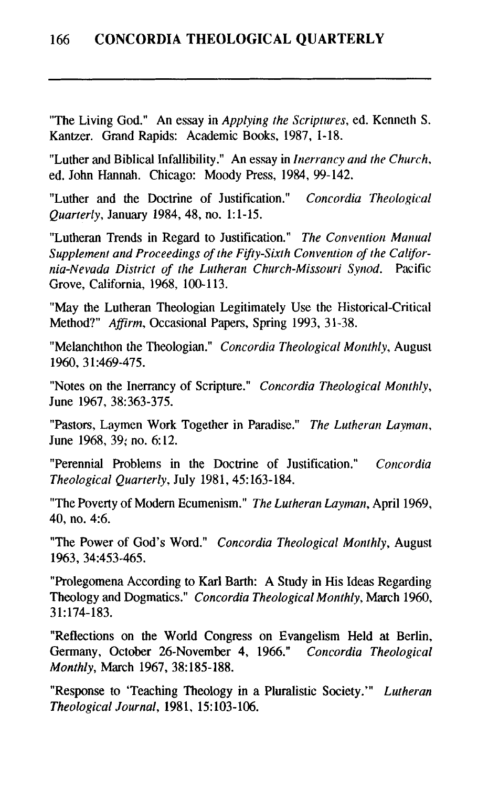"The Living God." An essay in *Applying the Scriptwes,* ed. Kenneth S. Kantzer. Grand Rapids: Academic Books, 1987, 1-18.

"Luther and Biblical Infallibility." An essay in *Inerrancy and the Church.*  ed. John Hannah. Chicago: Moody Press, 1984, 99-142.

"Luther and the Doctrine of Justification." *Concordia Theological Quarterly, January 1984, 48, no. 1:1-15.* 

"Lutheran Trends in Regard to Justification." *The Convention Manual Supplement and Proceedings of the Fijiy-Sixth Convention of the California-Nevada District of the Lutheran Church-Missouri Synod.* Pacific Grove, California, 1968, 100-113.

"May the Lutheran Theologian Legitimately Use the Historical-Critical Method?" *Affirm, Occasional Papers, Spring 1993, 31-38.* 

"Melanchthon the Theologian." *Concordia Theological Monthly,* August 1960, 3 1:469-475.

"Notes on the Inerrancy of Scripture." *Concordia Theological Monthly,*  June 1967, 38:363-375.

"Pastors, Laymen Work Together in Paradise." *The Lutheran Luyniun,*  June 1968, 39: no. 6: 12.

"Perennial Problems in the Doctrine of Justification." *Concordia Theological Quarterly, July 1981, 45:163-184.* 

"The Poverty of Modern Ecumenism." *The Lutheran Layman*, April 1969, 40, no. 4:6.

"The Power of God's Word." *Concordia Theological Monthly,* August 1963, 34:453-465.

"Prolegomena According to Karl Barth: A Study in His Ideas Regarding Theology and Dogmatics." *Concordia Theological Monthly,* March 1960, 31~174-183.

"Reflections on the World Congress on Evangelism Held at Berlin, Germany, October 26-November 4, 1966." *Concordia Theological Monthly,* March 1967, 38: 185-188.

"Response to 'Teaching Theology in a Pluralistic Society."' *Lutheran Theological Journal,* 1981, 15: 103-106.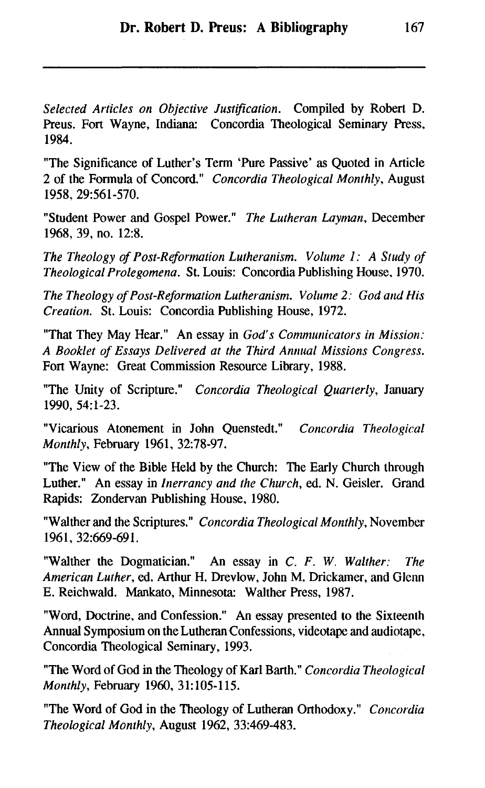*Selected Articles on Objective Justification.* Compiled by Robert D. Preus. Fort Wayne, Indiana: Concordia Theological Seminary Press, 1984.

"The Significance of Luther's Term 'Pure Passive' as Quoted in Article 2 of the Formula of Concord." *Concordia Theological Monthly,* August 1958, 29561-570.

"Student Power and Gospel Power." *The Lutheran Layman*, December 1968, 39, no. 12:8.

*The Theology of Post-Reformation Lutheranism. Volume 1: A Study of Theological Prolegomena.* St. Louis: Concordia Publishing House, 1970.

*The Theology of Post-Reformation Lutheranism. Volume 2: God and His Creation.* St. Louis: Concordia Publishing House, 1972.

"That They May Hear." An essay in *God's Conmunicutors in Mission: A Booklet of Essays Delivered at the Third Annual Missions Congress.*  Fort Wayne: Great Commission Resource Library, 1988.

"The Unity of Scripture." *Concordia Theological Quarterly,* January 1990, 54: 1-23.

"Vicarious Atonement in John Quenstedt." *Concordia Theological Monthly, February 1961, 32:78-97.* 

"The View of the Bible Held by the Church: The Early Church through Luther." An essay in *Inerrancy and the Church,* **ed.** N. Geisler. Grand Rapids: Zondervan Publishing House. 1980.

"Walther and the Scriptures." *Concordia Theological Monthly,* November 1961, 32569-691.

"Walther the Dogmatician." An essay in *C.* F. W. *Walther: The American L~ther,* ed. Arthur H. Drevlow, John M. Drickamer, and Glenn E. Reichwald. Mankato, Minnesota: Walther Press, 1987.

"Word, Doctrine, and Confession." An essay presented to the Sixteenlh Annual Symposium on the Lutheran Confessions, videotape and audiotape, Concordia Theological Seminary, 1993.

"The Word of God in the Theology of Karl Barth." *Concordia Theological Monthly, February 1960, 31:105-115.* 

"The Word of God in the Theology of Lutheran Orthodoxy." *Concordia Theological Monthly,* August 1962, 33:469-483.